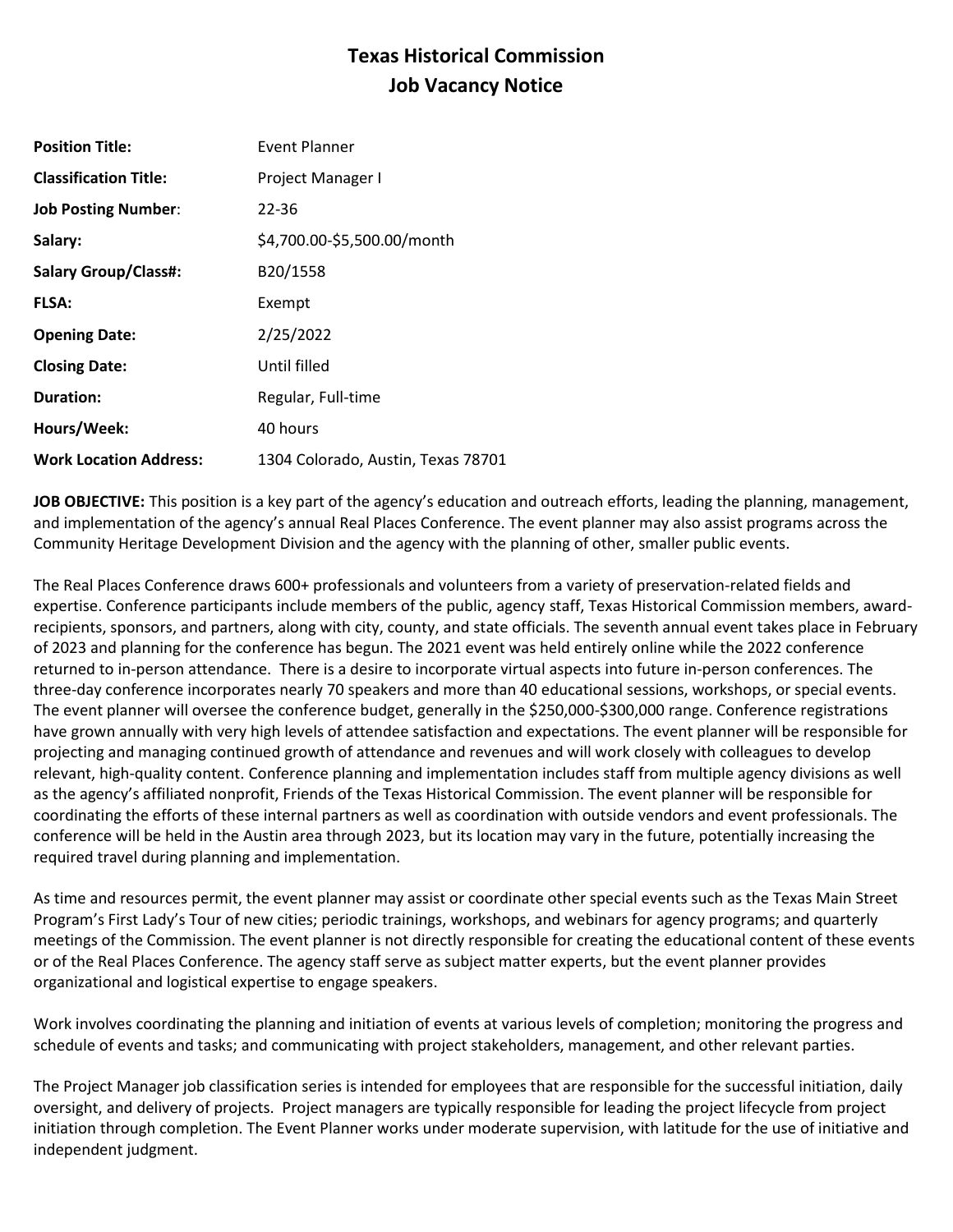# **Texas Historical Commission Job Vacancy Notice**

| <b>Position Title:</b>        | Event Planner                      |
|-------------------------------|------------------------------------|
| <b>Classification Title:</b>  | Project Manager I                  |
| <b>Job Posting Number:</b>    | 22-36                              |
| Salary:                       | \$4,700.00-\$5,500.00/month        |
| <b>Salary Group/Class#:</b>   | B20/1558                           |
| <b>FLSA:</b>                  | Exempt                             |
| <b>Opening Date:</b>          | 2/25/2022                          |
| <b>Closing Date:</b>          | Until filled                       |
| <b>Duration:</b>              | Regular, Full-time                 |
| Hours/Week:                   | 40 hours                           |
| <b>Work Location Address:</b> | 1304 Colorado, Austin, Texas 78701 |

**JOB OBJECTIVE:** This position is a key part of the agency's education and outreach efforts, leading the planning, management, and implementation of the agency's annual Real Places Conference. The event planner may also assist programs across the Community Heritage Development Division and the agency with the planning of other, smaller public events.

The Real Places Conference draws 600+ professionals and volunteers from a variety of preservation-related fields and expertise. Conference participants include members of the public, agency staff, Texas Historical Commission members, awardrecipients, sponsors, and partners, along with city, county, and state officials. The seventh annual event takes place in February of 2023 and planning for the conference has begun. The 2021 event was held entirely online while the 2022 conference returned to in-person attendance. There is a desire to incorporate virtual aspects into future in-person conferences. The three-day conference incorporates nearly 70 speakers and more than 40 educational sessions, workshops, or special events. The event planner will oversee the conference budget, generally in the \$250,000-\$300,000 range. Conference registrations have grown annually with very high levels of attendee satisfaction and expectations. The event planner will be responsible for projecting and managing continued growth of attendance and revenues and will work closely with colleagues to develop relevant, high-quality content. Conference planning and implementation includes staff from multiple agency divisions as well as the agency's affiliated nonprofit, Friends of the Texas Historical Commission. The event planner will be responsible for coordinating the efforts of these internal partners as well as coordination with outside vendors and event professionals. The conference will be held in the Austin area through 2023, but its location may vary in the future, potentially increasing the required travel during planning and implementation.

As time and resources permit, the event planner may assist or coordinate other special events such as the Texas Main Street Program's First Lady's Tour of new cities; periodic trainings, workshops, and webinars for agency programs; and quarterly meetings of the Commission. The event planner is not directly responsible for creating the educational content of these events or of the Real Places Conference. The agency staff serve as subject matter experts, but the event planner provides organizational and logistical expertise to engage speakers.

Work involves coordinating the planning and initiation of events at various levels of completion; monitoring the progress and schedule of events and tasks; and communicating with project stakeholders, management, and other relevant parties.

The Project Manager job classification series is intended for employees that are responsible for the successful initiation, daily oversight, and delivery of projects. Project managers are typically responsible for leading the project lifecycle from project initiation through completion. The Event Planner works under moderate supervision, with latitude for the use of initiative and independent judgment.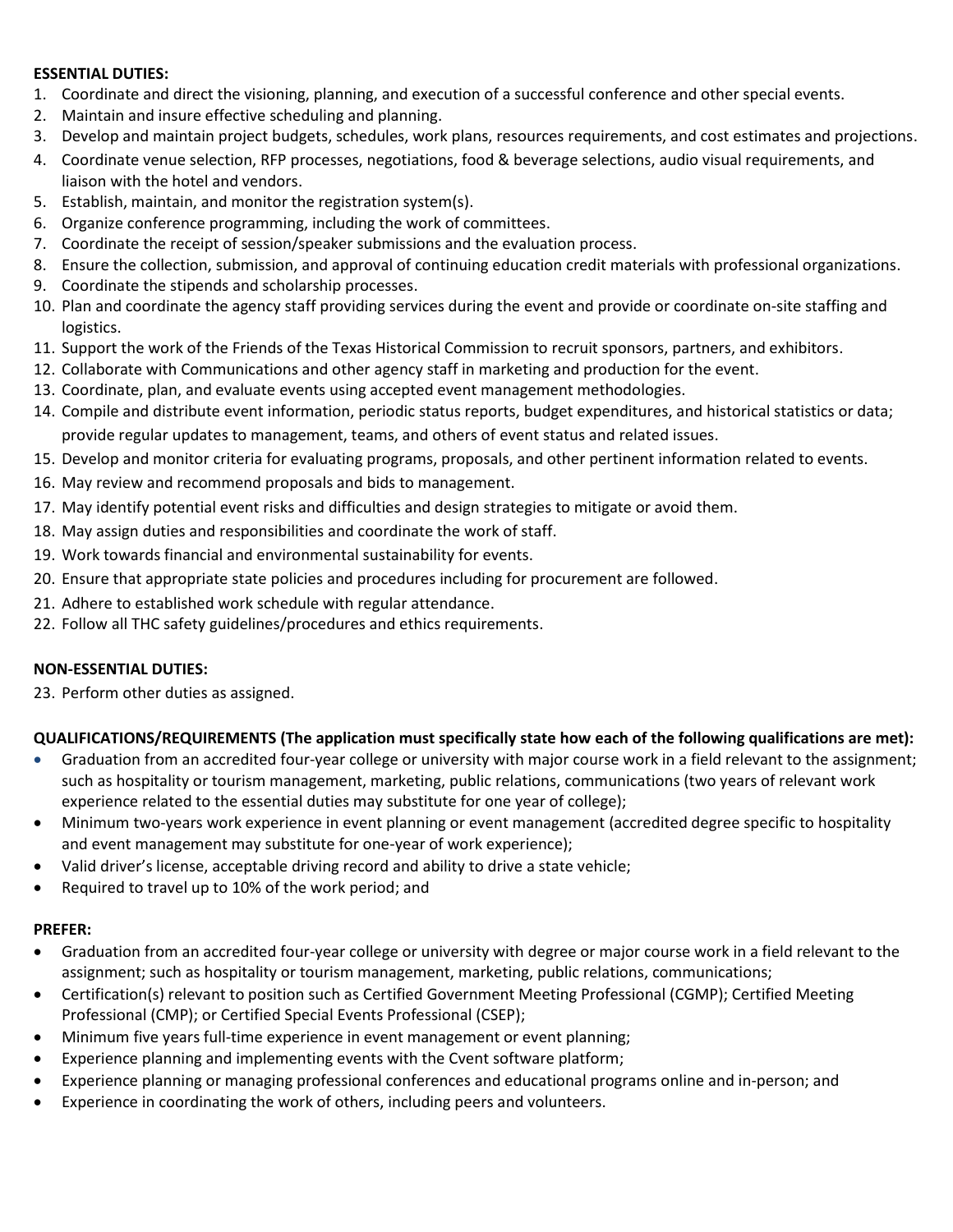#### **ESSENTIAL DUTIES:**

- 1. Coordinate and direct the visioning, planning, and execution of a successful conference and other special events.
- 2. Maintain and insure effective scheduling and planning.
- 3. Develop and maintain project budgets, schedules, work plans, resources requirements, and cost estimates and projections.
- 4. Coordinate venue selection, RFP processes, negotiations, food & beverage selections, audio visual requirements, and liaison with the hotel and vendors.
- 5. Establish, maintain, and monitor the registration system(s).
- 6. Organize conference programming, including the work of committees.
- 7. Coordinate the receipt of session/speaker submissions and the evaluation process.
- 8. Ensure the collection, submission, and approval of continuing education credit materials with professional organizations.
- 9. Coordinate the stipends and scholarship processes.
- 10. Plan and coordinate the agency staff providing services during the event and provide or coordinate on-site staffing and logistics.
- 11. Support the work of the Friends of the Texas Historical Commission to recruit sponsors, partners, and exhibitors.
- 12. Collaborate with Communications and other agency staff in marketing and production for the event.
- 13. Coordinate, plan, and evaluate events using accepted event management methodologies.
- 14. Compile and distribute event information, periodic status reports, budget expenditures, and historical statistics or data; provide regular updates to management, teams, and others of event status and related issues.
- 15. Develop and monitor criteria for evaluating programs, proposals, and other pertinent information related to events.
- 16. May review and recommend proposals and bids to management.
- 17. May identify potential event risks and difficulties and design strategies to mitigate or avoid them.
- 18. May assign duties and responsibilities and coordinate the work of staff.
- 19. Work towards financial and environmental sustainability for events.
- 20. Ensure that appropriate state policies and procedures including for procurement are followed.
- 21. Adhere to established work schedule with regular attendance.
- 22. Follow all THC safety guidelines/procedures and ethics requirements.

## **NON-ESSENTIAL DUTIES:**

23. Perform other duties as assigned.

# **QUALIFICATIONS/REQUIREMENTS (The application must specifically state how each of the following qualifications are met):**

- Graduation from an accredited four-year college or university with major course work in a field relevant to the assignment; such as hospitality or tourism management, marketing, public relations, communications (two years of relevant work experience related to the essential duties may substitute for one year of college);
- Minimum two-years work experience in event planning or event management (accredited degree specific to hospitality and event management may substitute for one-year of work experience);
- Valid driver's license, acceptable driving record and ability to drive a state vehicle;
- Required to travel up to 10% of the work period; and

## **PREFER:**

- Graduation from an accredited four-year college or university with degree or major course work in a field relevant to the assignment; such as hospitality or tourism management, marketing, public relations, communications;
- Certification(s) relevant to position such as Certified Government Meeting Professional (CGMP); Certified Meeting Professional (CMP); or Certified Special Events Professional (CSEP);
- Minimum five years full-time experience in event management or event planning;
- Experience planning and implementing events with the Cvent software platform;
- Experience planning or managing professional conferences and educational programs online and in-person; and
- Experience in coordinating the work of others, including peers and volunteers.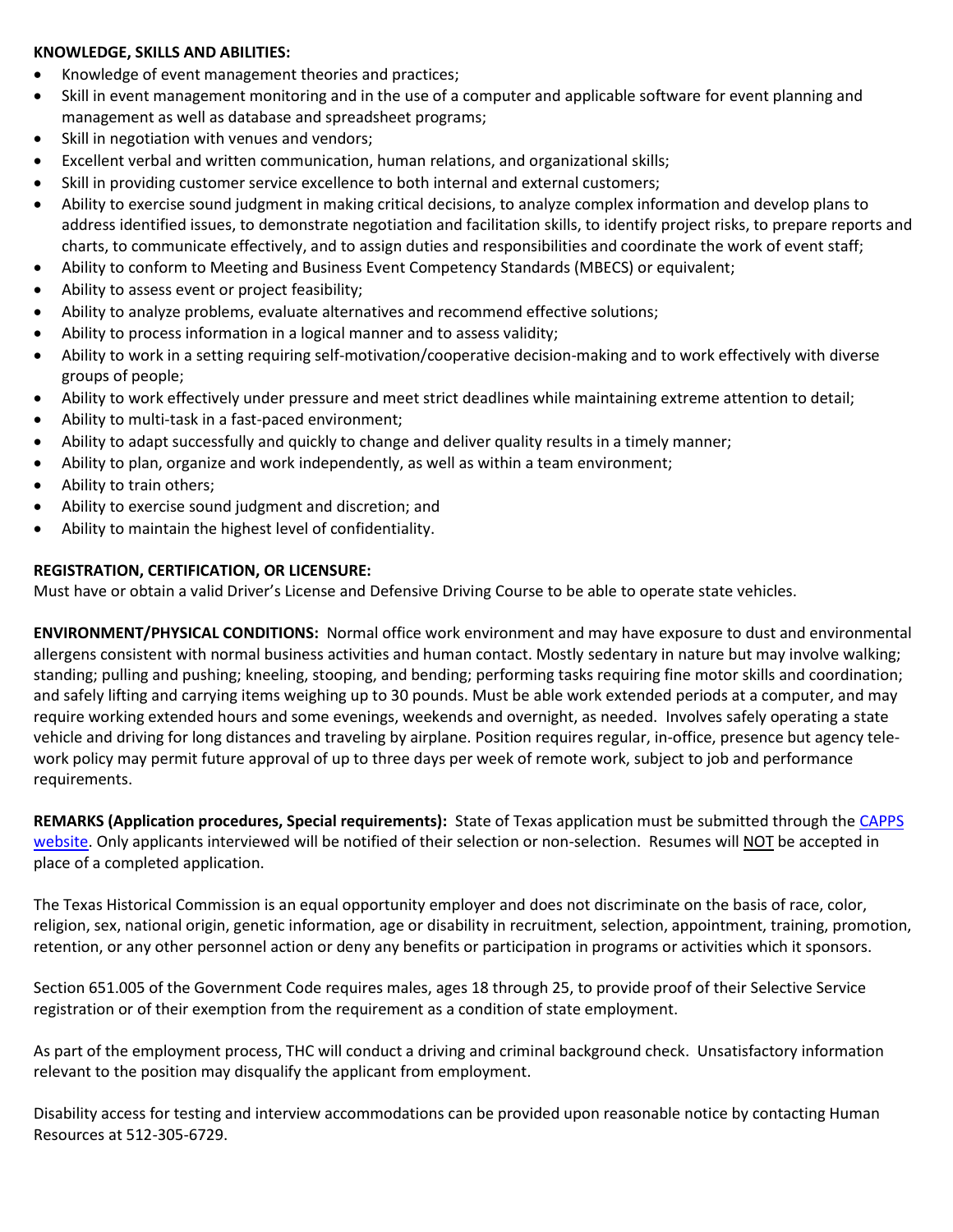#### **KNOWLEDGE, SKILLS AND ABILITIES:**

- Knowledge of event management theories and practices;
- Skill in event management monitoring and in the use of a computer and applicable software for event planning and management as well as database and spreadsheet programs;
- Skill in negotiation with venues and vendors;
- Excellent verbal and written communication, human relations, and organizational skills;
- Skill in providing customer service excellence to both internal and external customers;
- Ability to exercise sound judgment in making critical decisions, to analyze complex information and develop plans to address identified issues, to demonstrate negotiation and facilitation skills, to identify project risks, to prepare reports and charts, to communicate effectively, and to assign duties and responsibilities and coordinate the work of event staff;
- Ability to conform to Meeting and Business Event Competency Standards (MBECS) or equivalent;
- Ability to assess event or project feasibility;
- Ability to analyze problems, evaluate alternatives and recommend effective solutions;
- Ability to process information in a logical manner and to assess validity;
- Ability to work in a setting requiring self-motivation/cooperative decision-making and to work effectively with diverse groups of people;
- Ability to work effectively under pressure and meet strict deadlines while maintaining extreme attention to detail;
- Ability to multi-task in a fast-paced environment;
- Ability to adapt successfully and quickly to change and deliver quality results in a timely manner;
- Ability to plan, organize and work independently, as well as within a team environment;
- Ability to train others;
- Ability to exercise sound judgment and discretion; and
- Ability to maintain the highest level of confidentiality.

# **REGISTRATION, CERTIFICATION, OR LICENSURE:**

Must have or obtain a valid Driver's License and Defensive Driving Course to be able to operate state vehicles.

**ENVIRONMENT/PHYSICAL CONDITIONS:** Normal office work environment and may have exposure to dust and environmental allergens consistent with normal business activities and human contact. Mostly sedentary in nature but may involve walking; standing; pulling and pushing; kneeling, stooping, and bending; performing tasks requiring fine motor skills and coordination; and safely lifting and carrying items weighing up to 30 pounds. Must be able work extended periods at a computer, and may require working extended hours and some evenings, weekends and overnight, as needed. Involves safely operating a state vehicle and driving for long distances and traveling by airplane. Position requires regular, in-office, presence but agency telework policy may permit future approval of up to three days per week of remote work, subject to job and performance requirements.

**REMARKS (Application procedures, Special requirements):** State of Texas application must be submitted through the [CAPPS](https://capps.taleo.net/careersection/808/jobsearch.ftl?lang=en)  [website.](https://capps.taleo.net/careersection/808/jobsearch.ftl?lang=en) Only applicants interviewed will be notified of their selection or non-selection. Resumes will NOT be accepted in place of a completed application.

The Texas Historical Commission is an equal opportunity employer and does not discriminate on the basis of race, color, religion, sex, national origin, genetic information, age or disability in recruitment, selection, appointment, training, promotion, retention, or any other personnel action or deny any benefits or participation in programs or activities which it sponsors.

Section 651.005 of the Government Code requires males, ages 18 through 25, to provide proof of their Selective Service registration or of their exemption from the requirement as a condition of state employment.

As part of the employment process, THC will conduct a driving and criminal background check. Unsatisfactory information relevant to the position may disqualify the applicant from employment.

Disability access for testing and interview accommodations can be provided upon reasonable notice by contacting Human Resources at 512-305-6729.